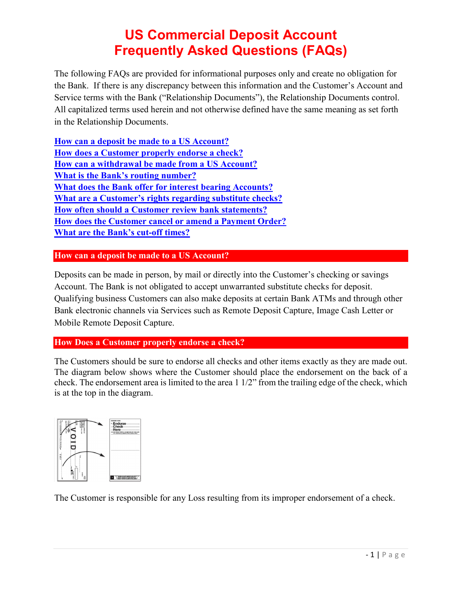The following FAQs are provided for informational purposes only and create no obligation for the Bank. If there is any discrepancy between this information and the Customer's Account and Service terms with the Bank ("Relationship Documents"), the Relationship Documents control. All capitalized terms used herein and not otherwise defined have the same meaning as set forth in the Relationship Documents.

**[How can a deposit be made to a US Account?](#page-0-0) How does a Customer [properly endorse a check?](#page-0-1) How can a withdrawal [be made from a US Account?](#page-1-0) What is the Bank's routing number? [What does the Bank offer for interest bearing Accounts?](#page-1-1) [What are a Customer's rights regarding substitute checks?](#page-1-2)  [How often should a Customer review bank statements?](#page-2-0)  How does [the Customer cancel or amend a Payment Order?](#page-2-1) [What are the Bank's cut-off times?](#page-3-0)**

<span id="page-0-0"></span>**How can a deposit be made to a US Account?**

Deposits can be made in person, by mail or directly into the Customer's checking or savings Account. The Bank is not obligated to accept unwarranted substitute checks for deposit. Qualifying business Customers can also make deposits at certain Bank ATMs and through other Bank electronic channels via Services such as Remote Deposit Capture, Image Cash Letter or Mobile Remote Deposit Capture.

<span id="page-0-1"></span>**How Does a Customer properly endorse a check?**

The Customers should be sure to endorse all checks and other items exactly as they are made out. The diagram below shows where the Customer should place the endorsement on the back of a check. The endorsement area is limited to the area 1 1/2" from the trailing edge of the check, which is at the top in the diagram.



The Customer is responsible for any Loss resulting from its improper endorsement of a check.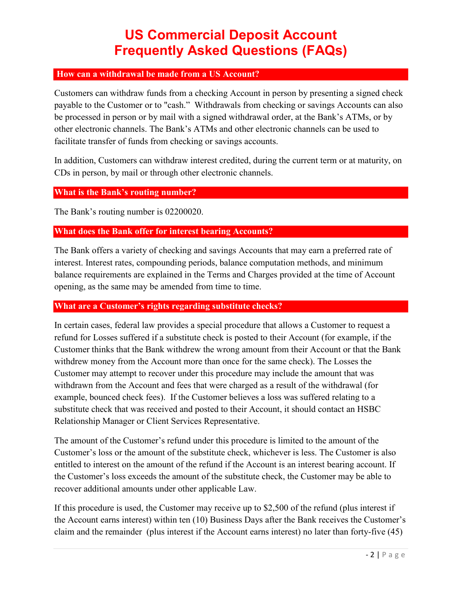### <span id="page-1-0"></span>**How can a withdrawal be made from a US Account?**

Customers can withdraw funds from a checking Account in person by presenting a signed check payable to the Customer or to "cash." Withdrawals from checking or savings Accounts can also be processed in person or by mail with a signed withdrawal order, at the Bank's ATMs, or by other electronic channels. The Bank's ATMs and other electronic channels can be used to facilitate transfer of funds from checking or savings accounts.

In addition, Customers can withdraw interest credited, during the current term or at maturity, on CDs in person, by mail or through other electronic channels.

### **What is the Bank's routing number?**

The Bank's routing number is 02200020.

### <span id="page-1-1"></span>**What does the Bank offer for interest bearing Accounts?**

The Bank offers a variety of checking and savings Accounts that may earn a preferred rate of interest. Interest rates, compounding periods, balance computation methods, and minimum balance requirements are explained in the Terms and Charges provided at the time of Account opening, as the same may be amended from time to time.

#### <span id="page-1-2"></span>**What are a Customer's rights regarding substitute checks?**

In certain cases, federal law provides a special procedure that allows a Customer to request a refund for Losses suffered if a substitute check is posted to their Account (for example, if the Customer thinks that the Bank withdrew the wrong amount from their Account or that the Bank withdrew money from the Account more than once for the same check). The Losses the Customer may attempt to recover under this procedure may include the amount that was withdrawn from the Account and fees that were charged as a result of the withdrawal (for example, bounced check fees). If the Customer believes a loss was suffered relating to a substitute check that was received and posted to their Account, it should contact an HSBC Relationship Manager or Client Services Representative.

The amount of the Customer's refund under this procedure is limited to the amount of the Customer's loss or the amount of the substitute check, whichever is less. The Customer is also entitled to interest on the amount of the refund if the Account is an interest bearing account. If the Customer's loss exceeds the amount of the substitute check, the Customer may be able to recover additional amounts under other applicable Law.

If this procedure is used, the Customer may receive up to \$2,500 of the refund (plus interest if the Account earns interest) within ten (10) Business Days after the Bank receives the Customer's claim and the remainder (plus interest if the Account earns interest) no later than forty-five (45)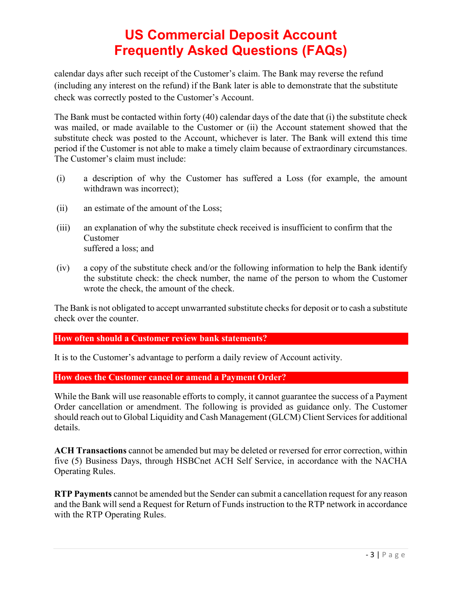calendar days after such receipt of the Customer's claim. The Bank may reverse the refund (including any interest on the refund) if the Bank later is able to demonstrate that the substitute check was correctly posted to the Customer's Account.

The Bank must be contacted within forty (40) calendar days of the date that (i) the substitute check was mailed, or made available to the Customer or (ii) the Account statement showed that the substitute check was posted to the Account, whichever is later. The Bank will extend this time period if the Customer is not able to make a timely claim because of extraordinary circumstances. The Customer's claim must include:

- (i) a description of why the Customer has suffered a Loss (for example, the amount withdrawn was incorrect);
- (ii) an estimate of the amount of the Loss;
- (iii) an explanation of why the substitute check received is insufficient to confirm that the Customer suffered a loss; and
- (iv) a copy of the substitute check and/or the following information to help the Bank identify the substitute check: the check number, the name of the person to whom the Customer wrote the check, the amount of the check.

The Bank is not obligated to accept unwarranted substitute checks for deposit or to cash a substitute check over the counter.

### <span id="page-2-0"></span>**How often should a Customer review bank statements?**

It is to the Customer's advantage to perform a daily review of Account activity.

#### <span id="page-2-1"></span>**How does the Customer cancel or amend a Payment Order?**

While the Bank will use reasonable efforts to comply, it cannot guarantee the success of a Payment Order cancellation or amendment. The following is provided as guidance only. The Customer should reach out to Global Liquidity and Cash Management (GLCM) Client Services for additional details.

**ACH Transactions** cannot be amended but may be deleted or reversed for error correction, within five (5) Business Days, through HSBCnet ACH Self Service, in accordance with the NACHA Operating Rules.

**RTP Payments** cannot be amended but the Sender can submit a cancellation request for any reason and the Bank will send a Request for Return of Funds instruction to the RTP network in accordance with the RTP Operating Rules.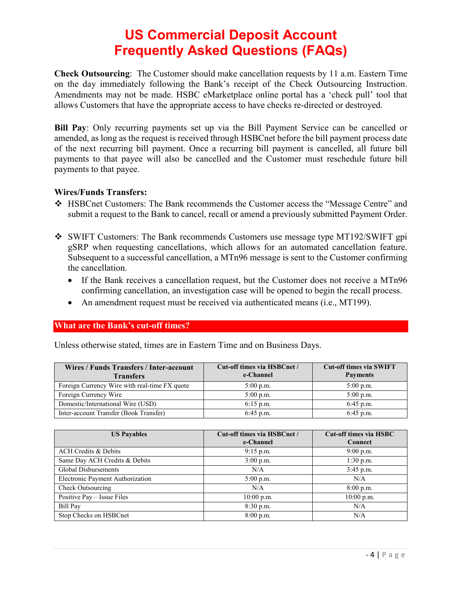**Check Outsourcing**: The Customer should make cancellation requests by 11 a.m. Eastern Time on the day immediately following the Bank's receipt of the Check Outsourcing Instruction. Amendments may not be made. HSBC eMarketplace online portal has a 'check pull' tool that allows Customers that have the appropriate access to have checks re-directed or destroyed.

**Bill Pay**: Only recurring payments set up via the Bill Payment Service can be cancelled or amended, as long as the request is received through HSBCnet before the bill payment process date of the next recurring bill payment. Once a recurring bill payment is cancelled, all future bill payments to that payee will also be cancelled and the Customer must reschedule future bill payments to that payee.

#### **Wires/Funds Transfers:**

- HSBCnet Customers: The Bank recommends the Customer access the "Message Centre" and submit a request to the Bank to cancel, recall or amend a previously submitted Payment Order.
- SWIFT Customers: The Bank recommends Customers use message type MT192/SWIFT gpi gSRP when requesting cancellations, which allows for an automated cancellation feature. Subsequent to a successful cancellation, a MTn96 message is sent to the Customer confirming the cancellation.
	- If the Bank receives a cancellation request, but the Customer does not receive a MTn96 confirming cancellation, an investigation case will be opened to begin the recall process.
	- An amendment request must be received via authenticated means (i.e., MT199).

#### <span id="page-3-0"></span>**What are the Bank's cut-off times?**

Unless otherwise stated, times are in Eastern Time and on Business Days.

| Wires / Funds Transfers / Inter-account<br><b>Transfers</b> | Cut-off times via HSBCnet /<br>e-Channel | <b>Cut-off times via SWIFT</b><br><b>Payments</b> |
|-------------------------------------------------------------|------------------------------------------|---------------------------------------------------|
| Foreign Currency Wire with real-time FX quote               | $5:00$ p.m.                              | $5:00$ p.m.                                       |
| Foreign Currency Wire                                       | $5:00$ p.m.                              | $5:00$ p.m.                                       |
| Domestic/International Wire (USD)                           | $6:15$ p.m.                              | $6:45$ p.m.                                       |
| Inter-account Transfer (Book Transfer)                      | $6:45$ p.m.                              | $6:45$ p.m.                                       |

| <b>US Payables</b>               | Cut-off times via HSBCnet / | <b>Cut-off times via HSBC</b> |
|----------------------------------|-----------------------------|-------------------------------|
|                                  | e-Channel                   | <b>Connect</b>                |
| <b>ACH Credits &amp; Debits</b>  | $9:15$ p.m.                 | $9:00$ p.m.                   |
| Same Day ACH Credits & Debits    | $3:00$ p.m.                 | $1:30$ p.m.                   |
| Global Disbursements             | N/A                         | $3:45$ p.m.                   |
| Electronic Payment Authorization | $5:00$ p.m.                 | N/A                           |
| Check Outsourcing                | N/A                         | $8:00$ p.m.                   |
| Positive Pay - Issue Files       | $10:00$ p.m.                | $10:00$ p.m.                  |
| Bill Pay                         | 8:30 p.m.                   | N/A                           |
| Stop Checks on HSBCnet           | $8:00$ p.m.                 | N/A                           |